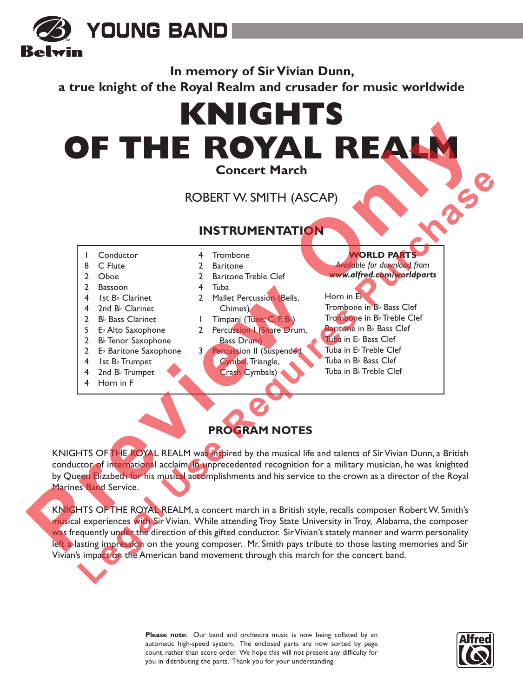

## **PROGRAM NOTES**

KNIGHTS OF THE ROYAL REALM was inspired by the musical life and talents of Sir Vivian Dunn, a British conductor of international acclaim. In unprecedented recognition for a military musician, he was knighted by Queen Elizabeth for his musical accomplishments and his service to the crown as a director of the Royal Marines Band Service.

KNIGHTS OF THE ROYAL REALM, a concert march in a British style, recalls composer Robert W. Smith's musical experiences with Sir Vivian. While attending Troy State University in Troy, Alabama, the composer was frequently under the direction of this gifted conductor. Sir Vivian's stately manner and warm personality left a lasting impression on the young composer. Mr. Smith pays tribute to those lasting memories and Sir Vivian's impact on the American band movement through this march for the concert band.

> **Please note**: Our band and orchestra music is now being collated by an automatic high-speed system. The enclosed parts are now sorted by page count, rather than score order. We hope this will not present any difficulty for you in distributing the parts. Thank you for your understanding.

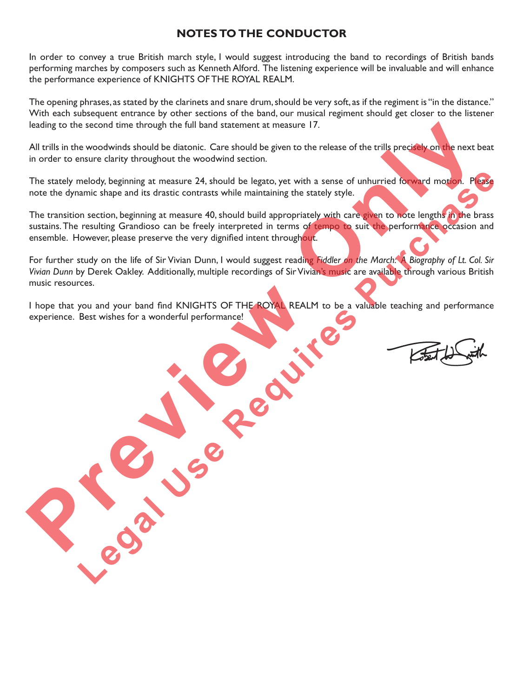## **NOTES TO THE CONDUCTOR**

In order to convey a true British march style, I would suggest introducing the band to recordings of British bands performing marches by composers such as Kenneth Alford. The listening experience will be invaluable and will enhance the performance experience of KNIGHTS OF THE ROYAL REALM.

The opening phrases, as stated by the clarinets and snare drum, should be very soft, as if the regiment is "in the distance." With each subsequent entrance by other sections of the band, our musical regiment should get closer to the listener leading to the second time through the full band statement at measure 17.

All trills in the woodwinds should be diatonic. Care should be given to the release of the trills precisely on the next beat in order to ensure clarity throughout the woodwind section.

The stately melody, beginning at measure 24, should be legato, yet with a sense of unhurried forward motion. note the dynamic shape and its drastic contrasts while maintaining the stately style.

The transition section, beginning at measure 40, should build appropriately with care given to note lengths in the brass sustains. The resulting Grandioso can be freely interpreted in terms of tempo to suit the performance occasion and ensemble. However, please preserve the very dignified intent throughout. leading to the second time through the full band statement at measure 17.<br>All trills in the woodwind stationic. Care bloud be given to the relates of the trills precising an matter in the woodwind station. The stately melo melody, beginning at measure 24, should be legate, yet with a sense of unhurried forward months. Phone and its drastic contrasts while maintaining the stately style.<br>The same of a should build gap represent in the stately

For further study on the life of Sir Vivian Dunn, I would suggest reading *Fiddler on the March: A Biography of Lt. Col. Sir Vivian Dunn* by Derek Oakley. Additionally, multiple recordings of Sir Vivian's music are available through various British music resources.

I hope that you and your band find KNIGHTS OF THE ROYAL REALM to be a valuable teaching and performance experience. Best wishes for a wonderful performance!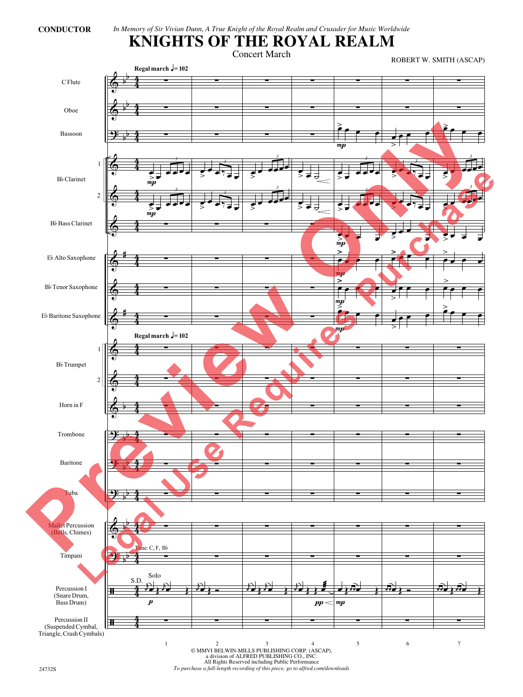**CONDUCTOR** *In Memory of Sir Vivian Dunn, A True Knight of the Royal Realm and Crusader for Music Worldwide*

## **KNIGHTS OF THE ROYAL REALM**



© MMVI BELWIN-MILLS PUBLISHING CORP. (ASCAP), a division of ALFRED PUBLISHING CO., INC. All Rights Reserved including Public Performance *To purchase a full-length recording of this piece, go to alfred.com/downloads*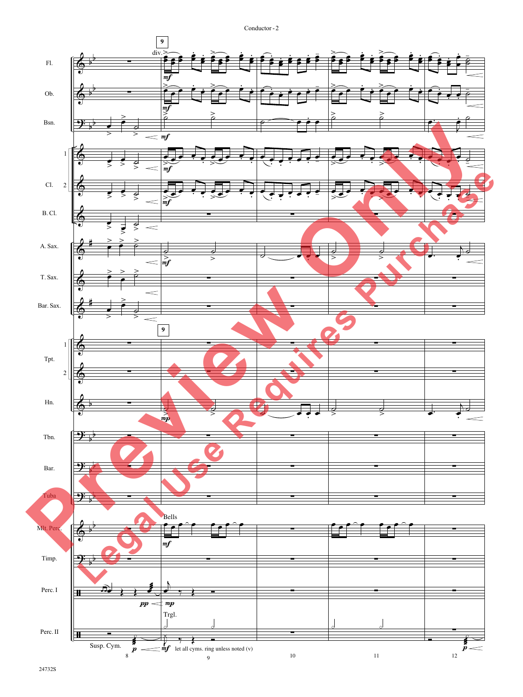Conductor - 2

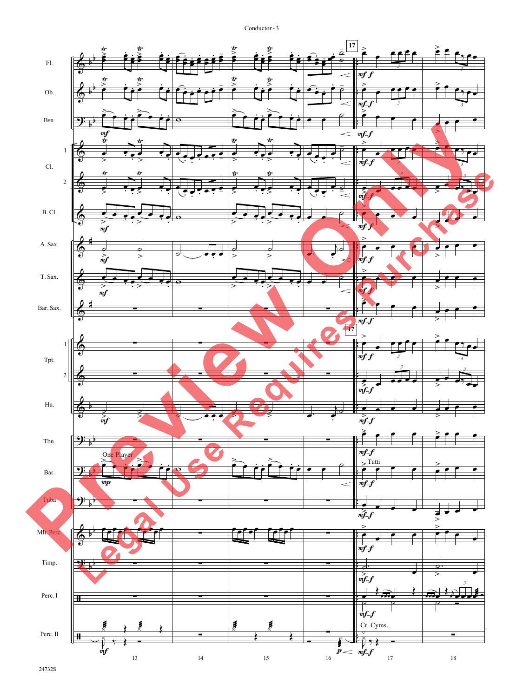Conductor - 3

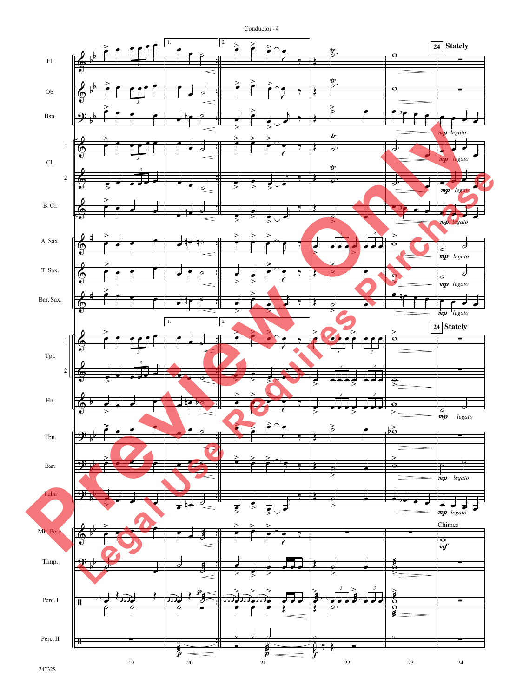Conductor-4

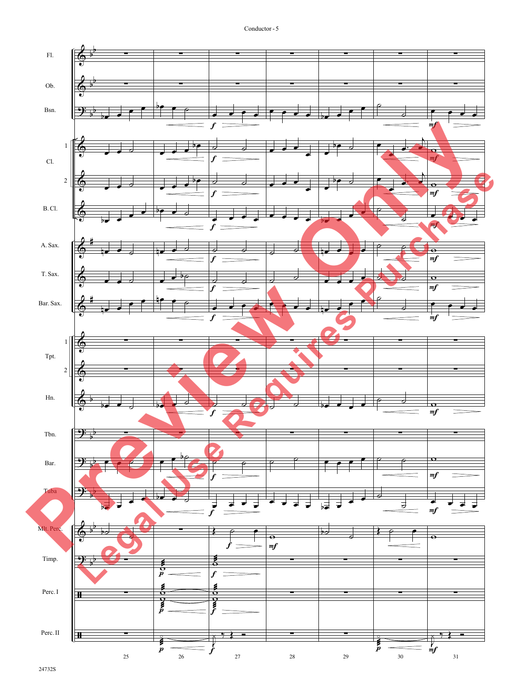## Conductor - 5

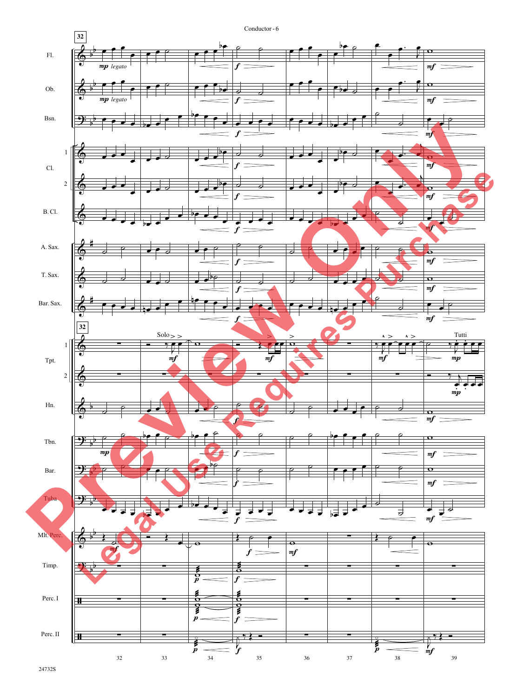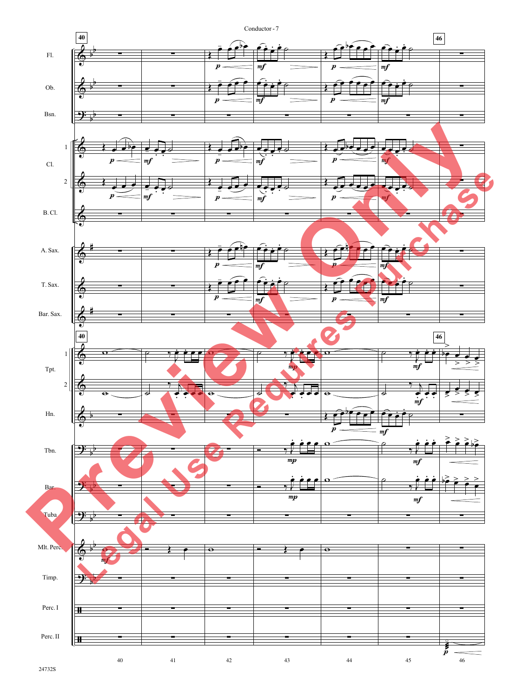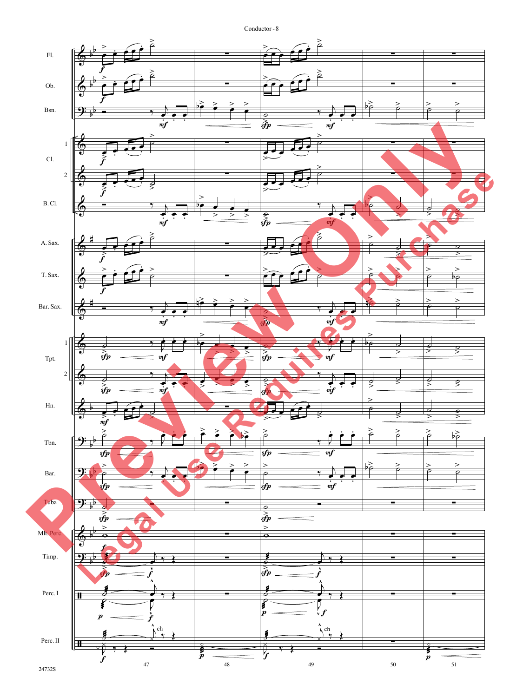Conductor - 8

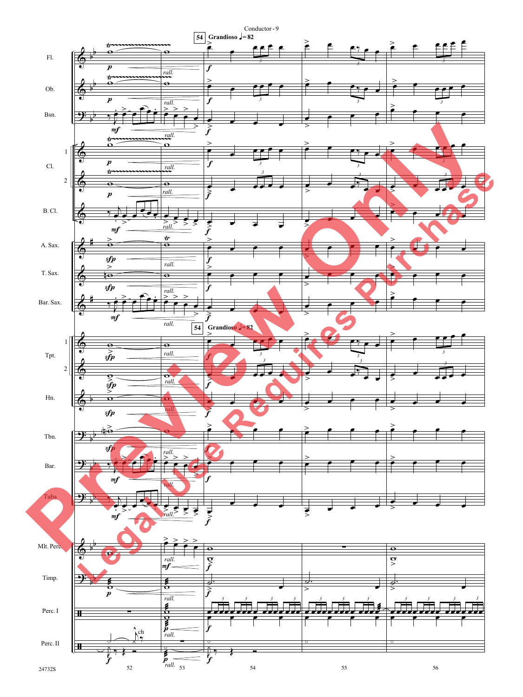